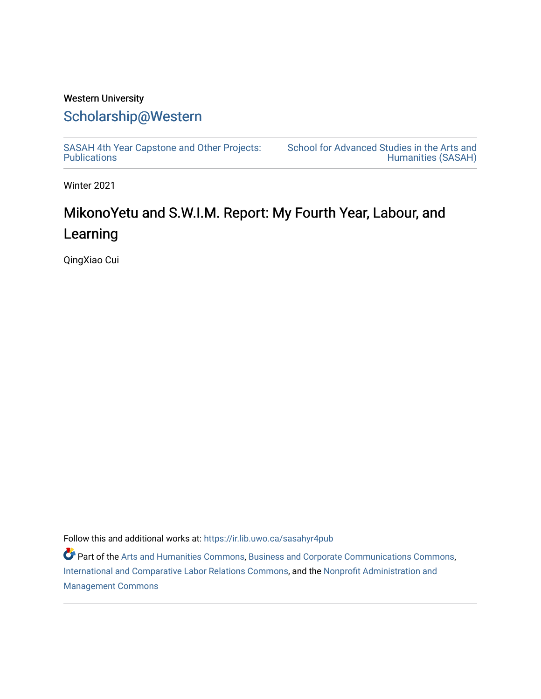## Western University [Scholarship@Western](https://ir.lib.uwo.ca/)

[SASAH 4th Year Capstone and Other Projects:](https://ir.lib.uwo.ca/sasahyr4pub)  **Publications** 

[School for Advanced Studies in the Arts and](https://ir.lib.uwo.ca/sasah)  [Humanities \(SASAH\)](https://ir.lib.uwo.ca/sasah) 

Winter 2021

# MikonoYetu and S.W.I.M. Report: My Fourth Year, Labour, and Learning

QingXiao Cui

Follow this and additional works at: [https://ir.lib.uwo.ca/sasahyr4pub](https://ir.lib.uwo.ca/sasahyr4pub?utm_source=ir.lib.uwo.ca%2Fsasahyr4pub%2F37&utm_medium=PDF&utm_campaign=PDFCoverPages) 

Part of the [Arts and Humanities Commons,](http://network.bepress.com/hgg/discipline/438?utm_source=ir.lib.uwo.ca%2Fsasahyr4pub%2F37&utm_medium=PDF&utm_campaign=PDFCoverPages) [Business and Corporate Communications Commons](http://network.bepress.com/hgg/discipline/627?utm_source=ir.lib.uwo.ca%2Fsasahyr4pub%2F37&utm_medium=PDF&utm_campaign=PDFCoverPages), [International and Comparative Labor Relations Commons](http://network.bepress.com/hgg/discipline/1259?utm_source=ir.lib.uwo.ca%2Fsasahyr4pub%2F37&utm_medium=PDF&utm_campaign=PDFCoverPages), and the [Nonprofit Administration and](http://network.bepress.com/hgg/discipline/1228?utm_source=ir.lib.uwo.ca%2Fsasahyr4pub%2F37&utm_medium=PDF&utm_campaign=PDFCoverPages)  [Management Commons](http://network.bepress.com/hgg/discipline/1228?utm_source=ir.lib.uwo.ca%2Fsasahyr4pub%2F37&utm_medium=PDF&utm_campaign=PDFCoverPages)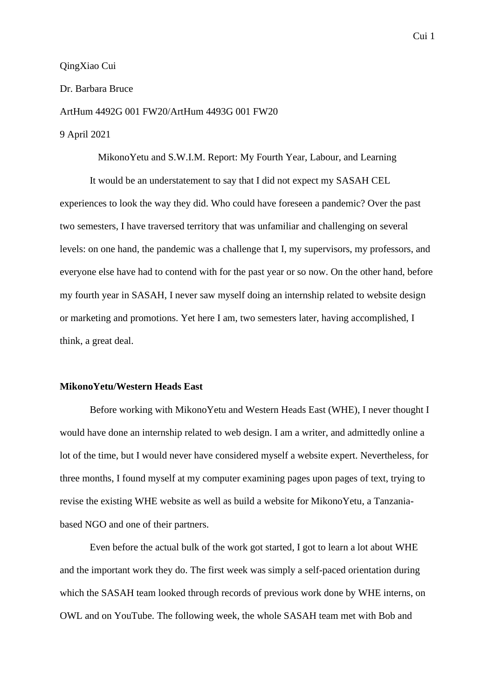## Dr. Barbara Bruce

ArtHum 4492G 001 FW20/ArtHum 4493G 001 FW20

## 9 April 2021

MikonoYetu and S.W.I.M. Report: My Fourth Year, Labour, and Learning

It would be an understatement to say that I did not expect my SASAH CEL experiences to look the way they did. Who could have foreseen a pandemic? Over the past two semesters, I have traversed territory that was unfamiliar and challenging on several levels: on one hand, the pandemic was a challenge that I, my supervisors, my professors, and everyone else have had to contend with for the past year or so now. On the other hand, before my fourth year in SASAH, I never saw myself doing an internship related to website design or marketing and promotions. Yet here I am, two semesters later, having accomplished, I think, a great deal.

## **MikonoYetu/Western Heads East**

Before working with MikonoYetu and Western Heads East (WHE), I never thought I would have done an internship related to web design. I am a writer, and admittedly online a lot of the time, but I would never have considered myself a website expert. Nevertheless, for three months, I found myself at my computer examining pages upon pages of text, trying to revise the existing WHE website as well as build a website for MikonoYetu, a Tanzaniabased NGO and one of their partners.

Even before the actual bulk of the work got started, I got to learn a lot about WHE and the important work they do. The first week was simply a self-paced orientation during which the SASAH team looked through records of previous work done by WHE interns, on OWL and on YouTube. The following week, the whole SASAH team met with Bob and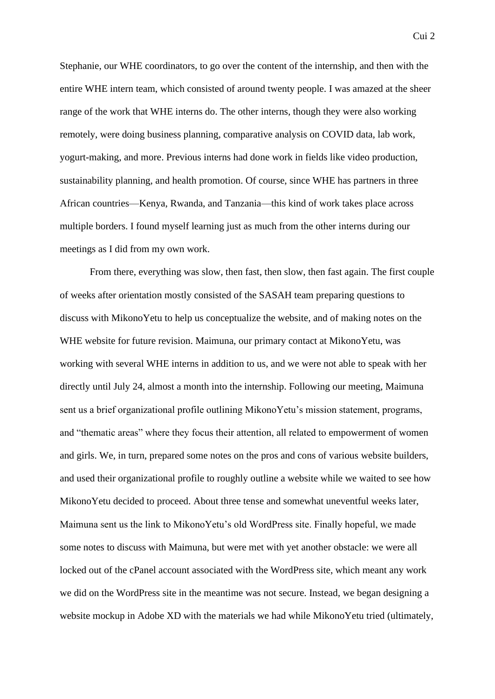Stephanie, our WHE coordinators, to go over the content of the internship, and then with the entire WHE intern team, which consisted of around twenty people. I was amazed at the sheer range of the work that WHE interns do. The other interns, though they were also working remotely, were doing business planning, comparative analysis on COVID data, lab work, yogurt-making, and more. Previous interns had done work in fields like video production, sustainability planning, and health promotion. Of course, since WHE has partners in three African countries—Kenya, Rwanda, and Tanzania—this kind of work takes place across multiple borders. I found myself learning just as much from the other interns during our meetings as I did from my own work.

From there, everything was slow, then fast, then slow, then fast again. The first couple of weeks after orientation mostly consisted of the SASAH team preparing questions to discuss with MikonoYetu to help us conceptualize the website, and of making notes on the WHE website for future revision. Maimuna, our primary contact at MikonoYetu, was working with several WHE interns in addition to us, and we were not able to speak with her directly until July 24, almost a month into the internship. Following our meeting, Maimuna sent us a brief organizational profile outlining MikonoYetu's mission statement, programs, and "thematic areas" where they focus their attention, all related to empowerment of women and girls. We, in turn, prepared some notes on the pros and cons of various website builders, and used their organizational profile to roughly outline a website while we waited to see how MikonoYetu decided to proceed. About three tense and somewhat uneventful weeks later, Maimuna sent us the link to MikonoYetu's old WordPress site. Finally hopeful, we made some notes to discuss with Maimuna, but were met with yet another obstacle: we were all locked out of the cPanel account associated with the WordPress site, which meant any work we did on the WordPress site in the meantime was not secure. Instead, we began designing a website mockup in Adobe XD with the materials we had while MikonoYetu tried (ultimately,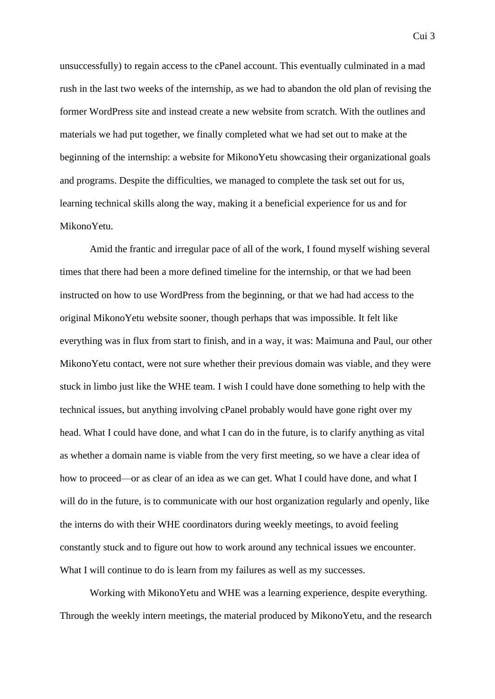unsuccessfully) to regain access to the cPanel account. This eventually culminated in a mad rush in the last two weeks of the internship, as we had to abandon the old plan of revising the former WordPress site and instead create a new website from scratch. With the outlines and materials we had put together, we finally completed what we had set out to make at the beginning of the internship: a website for MikonoYetu showcasing their organizational goals and programs. Despite the difficulties, we managed to complete the task set out for us, learning technical skills along the way, making it a beneficial experience for us and for MikonoYetu.

Amid the frantic and irregular pace of all of the work, I found myself wishing several times that there had been a more defined timeline for the internship, or that we had been instructed on how to use WordPress from the beginning, or that we had had access to the original MikonoYetu website sooner, though perhaps that was impossible. It felt like everything was in flux from start to finish, and in a way, it was: Maimuna and Paul, our other MikonoYetu contact, were not sure whether their previous domain was viable, and they were stuck in limbo just like the WHE team. I wish I could have done something to help with the technical issues, but anything involving cPanel probably would have gone right over my head. What I could have done, and what I can do in the future, is to clarify anything as vital as whether a domain name is viable from the very first meeting, so we have a clear idea of how to proceed—or as clear of an idea as we can get. What I could have done, and what I will do in the future, is to communicate with our host organization regularly and openly, like the interns do with their WHE coordinators during weekly meetings, to avoid feeling constantly stuck and to figure out how to work around any technical issues we encounter. What I will continue to do is learn from my failures as well as my successes.

Working with MikonoYetu and WHE was a learning experience, despite everything. Through the weekly intern meetings, the material produced by MikonoYetu, and the research

Cui 3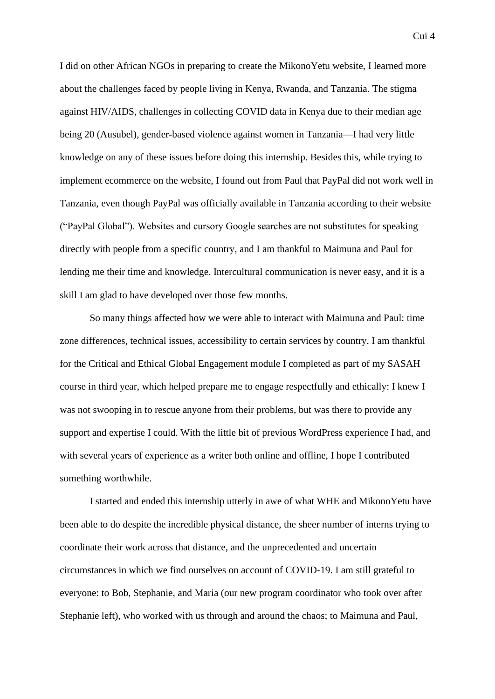Cui 4

I did on other African NGOs in preparing to create the MikonoYetu website, I learned more about the challenges faced by people living in Kenya, Rwanda, and Tanzania. The stigma against HIV/AIDS, challenges in collecting COVID data in Kenya due to their median age being 20 (Ausubel), gender-based violence against women in Tanzania—I had very little knowledge on any of these issues before doing this internship. Besides this, while trying to implement ecommerce on the website, I found out from Paul that PayPal did not work well in Tanzania, even though PayPal was officially available in Tanzania according to their website ("PayPal Global"). Websites and cursory Google searches are not substitutes for speaking directly with people from a specific country, and I am thankful to Maimuna and Paul for lending me their time and knowledge. Intercultural communication is never easy, and it is a skill I am glad to have developed over those few months.

So many things affected how we were able to interact with Maimuna and Paul: time zone differences, technical issues, accessibility to certain services by country. I am thankful for the Critical and Ethical Global Engagement module I completed as part of my SASAH course in third year, which helped prepare me to engage respectfully and ethically: I knew I was not swooping in to rescue anyone from their problems, but was there to provide any support and expertise I could. With the little bit of previous WordPress experience I had, and with several years of experience as a writer both online and offline, I hope I contributed something worthwhile.

I started and ended this internship utterly in awe of what WHE and MikonoYetu have been able to do despite the incredible physical distance, the sheer number of interns trying to coordinate their work across that distance, and the unprecedented and uncertain circumstances in which we find ourselves on account of COVID-19. I am still grateful to everyone: to Bob, Stephanie, and Maria (our new program coordinator who took over after Stephanie left), who worked with us through and around the chaos; to Maimuna and Paul,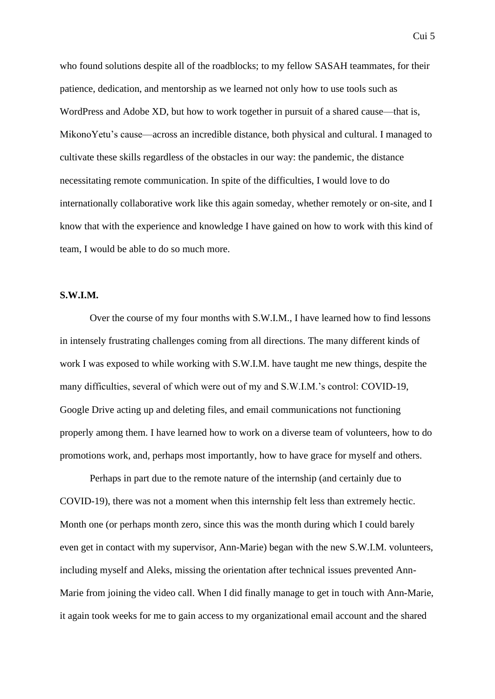who found solutions despite all of the roadblocks; to my fellow SASAH teammates, for their patience, dedication, and mentorship as we learned not only how to use tools such as WordPress and Adobe XD, but how to work together in pursuit of a shared cause—that is, MikonoYetu's cause—across an incredible distance, both physical and cultural. I managed to cultivate these skills regardless of the obstacles in our way: the pandemic, the distance necessitating remote communication. In spite of the difficulties, I would love to do internationally collaborative work like this again someday, whether remotely or on-site, and I know that with the experience and knowledge I have gained on how to work with this kind of team, I would be able to do so much more.

## **S.W.I.M.**

Over the course of my four months with S.W.I.M., I have learned how to find lessons in intensely frustrating challenges coming from all directions. The many different kinds of work I was exposed to while working with S.W.I.M. have taught me new things, despite the many difficulties, several of which were out of my and S.W.I.M.'s control: COVID-19, Google Drive acting up and deleting files, and email communications not functioning properly among them. I have learned how to work on a diverse team of volunteers, how to do promotions work, and, perhaps most importantly, how to have grace for myself and others.

Perhaps in part due to the remote nature of the internship (and certainly due to COVID-19), there was not a moment when this internship felt less than extremely hectic. Month one (or perhaps month zero, since this was the month during which I could barely even get in contact with my supervisor, Ann-Marie) began with the new S.W.I.M. volunteers, including myself and Aleks, missing the orientation after technical issues prevented Ann-Marie from joining the video call. When I did finally manage to get in touch with Ann-Marie, it again took weeks for me to gain access to my organizational email account and the shared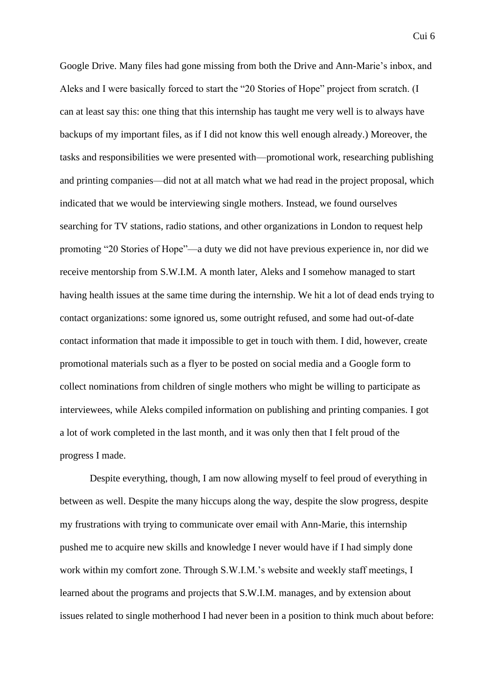Google Drive. Many files had gone missing from both the Drive and Ann-Marie's inbox, and Aleks and I were basically forced to start the "20 Stories of Hope" project from scratch. (I can at least say this: one thing that this internship has taught me very well is to always have backups of my important files, as if I did not know this well enough already.) Moreover, the tasks and responsibilities we were presented with—promotional work, researching publishing and printing companies—did not at all match what we had read in the project proposal, which indicated that we would be interviewing single mothers. Instead, we found ourselves searching for TV stations, radio stations, and other organizations in London to request help promoting "20 Stories of Hope"—a duty we did not have previous experience in, nor did we receive mentorship from S.W.I.M. A month later, Aleks and I somehow managed to start having health issues at the same time during the internship. We hit a lot of dead ends trying to contact organizations: some ignored us, some outright refused, and some had out-of-date contact information that made it impossible to get in touch with them. I did, however, create promotional materials such as a flyer to be posted on social media and a Google form to collect nominations from children of single mothers who might be willing to participate as interviewees, while Aleks compiled information on publishing and printing companies. I got a lot of work completed in the last month, and it was only then that I felt proud of the progress I made.

Despite everything, though, I am now allowing myself to feel proud of everything in between as well. Despite the many hiccups along the way, despite the slow progress, despite my frustrations with trying to communicate over email with Ann-Marie, this internship pushed me to acquire new skills and knowledge I never would have if I had simply done work within my comfort zone. Through S.W.I.M.'s website and weekly staff meetings, I learned about the programs and projects that S.W.I.M. manages, and by extension about issues related to single motherhood I had never been in a position to think much about before: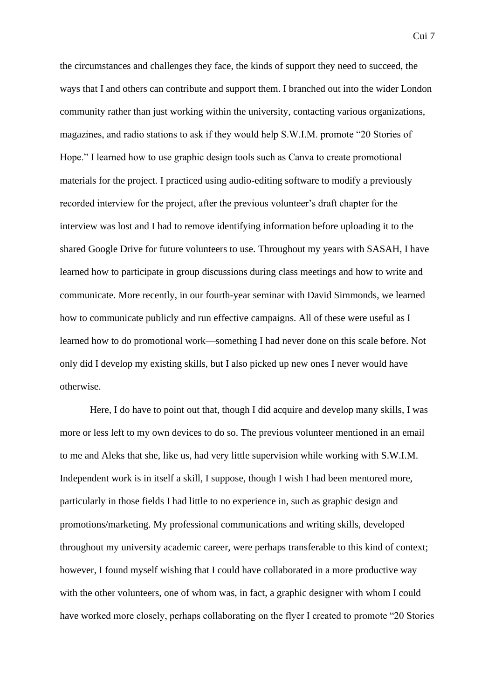the circumstances and challenges they face, the kinds of support they need to succeed, the ways that I and others can contribute and support them. I branched out into the wider London community rather than just working within the university, contacting various organizations, magazines, and radio stations to ask if they would help S.W.I.M. promote "20 Stories of Hope." I learned how to use graphic design tools such as Canva to create promotional materials for the project. I practiced using audio-editing software to modify a previously recorded interview for the project, after the previous volunteer's draft chapter for the interview was lost and I had to remove identifying information before uploading it to the shared Google Drive for future volunteers to use. Throughout my years with SASAH, I have learned how to participate in group discussions during class meetings and how to write and communicate. More recently, in our fourth-year seminar with David Simmonds, we learned how to communicate publicly and run effective campaigns. All of these were useful as I learned how to do promotional work—something I had never done on this scale before. Not only did I develop my existing skills, but I also picked up new ones I never would have otherwise.

Here, I do have to point out that, though I did acquire and develop many skills, I was more or less left to my own devices to do so. The previous volunteer mentioned in an email to me and Aleks that she, like us, had very little supervision while working with S.W.I.M. Independent work is in itself a skill, I suppose, though I wish I had been mentored more, particularly in those fields I had little to no experience in, such as graphic design and promotions/marketing. My professional communications and writing skills, developed throughout my university academic career, were perhaps transferable to this kind of context; however, I found myself wishing that I could have collaborated in a more productive way with the other volunteers, one of whom was, in fact, a graphic designer with whom I could have worked more closely, perhaps collaborating on the flyer I created to promote "20 Stories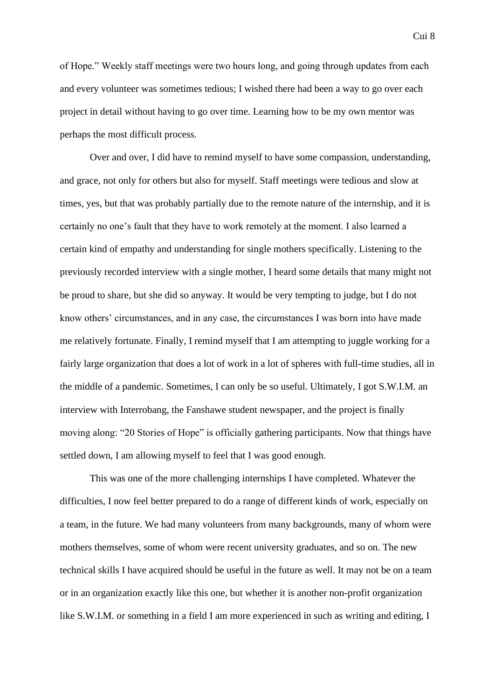Cui 8

of Hope." Weekly staff meetings were two hours long, and going through updates from each and every volunteer was sometimes tedious; I wished there had been a way to go over each project in detail without having to go over time. Learning how to be my own mentor was perhaps the most difficult process.

Over and over, I did have to remind myself to have some compassion, understanding, and grace, not only for others but also for myself. Staff meetings were tedious and slow at times, yes, but that was probably partially due to the remote nature of the internship, and it is certainly no one's fault that they have to work remotely at the moment. I also learned a certain kind of empathy and understanding for single mothers specifically. Listening to the previously recorded interview with a single mother, I heard some details that many might not be proud to share, but she did so anyway. It would be very tempting to judge, but I do not know others' circumstances, and in any case, the circumstances I was born into have made me relatively fortunate. Finally, I remind myself that I am attempting to juggle working for a fairly large organization that does a lot of work in a lot of spheres with full-time studies, all in the middle of a pandemic. Sometimes, I can only be so useful. Ultimately, I got S.W.I.M. an interview with Interrobang, the Fanshawe student newspaper, and the project is finally moving along: "20 Stories of Hope" is officially gathering participants. Now that things have settled down, I am allowing myself to feel that I was good enough.

This was one of the more challenging internships I have completed. Whatever the difficulties, I now feel better prepared to do a range of different kinds of work, especially on a team, in the future. We had many volunteers from many backgrounds, many of whom were mothers themselves, some of whom were recent university graduates, and so on. The new technical skills I have acquired should be useful in the future as well. It may not be on a team or in an organization exactly like this one, but whether it is another non-profit organization like S.W.I.M. or something in a field I am more experienced in such as writing and editing, I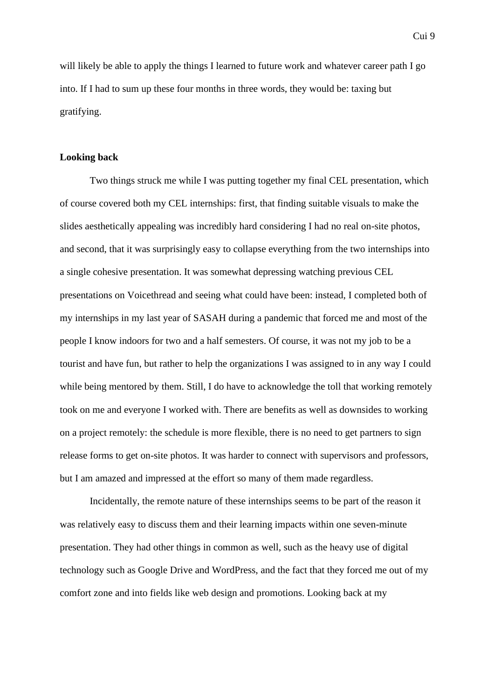will likely be able to apply the things I learned to future work and whatever career path I go into. If I had to sum up these four months in three words, they would be: taxing but gratifying.

## **Looking back**

Two things struck me while I was putting together my final CEL presentation, which of course covered both my CEL internships: first, that finding suitable visuals to make the slides aesthetically appealing was incredibly hard considering I had no real on-site photos, and second, that it was surprisingly easy to collapse everything from the two internships into a single cohesive presentation. It was somewhat depressing watching previous CEL presentations on Voicethread and seeing what could have been: instead, I completed both of my internships in my last year of SASAH during a pandemic that forced me and most of the people I know indoors for two and a half semesters. Of course, it was not my job to be a tourist and have fun, but rather to help the organizations I was assigned to in any way I could while being mentored by them. Still, I do have to acknowledge the toll that working remotely took on me and everyone I worked with. There are benefits as well as downsides to working on a project remotely: the schedule is more flexible, there is no need to get partners to sign release forms to get on-site photos. It was harder to connect with supervisors and professors, but I am amazed and impressed at the effort so many of them made regardless.

Incidentally, the remote nature of these internships seems to be part of the reason it was relatively easy to discuss them and their learning impacts within one seven-minute presentation. They had other things in common as well, such as the heavy use of digital technology such as Google Drive and WordPress, and the fact that they forced me out of my comfort zone and into fields like web design and promotions. Looking back at my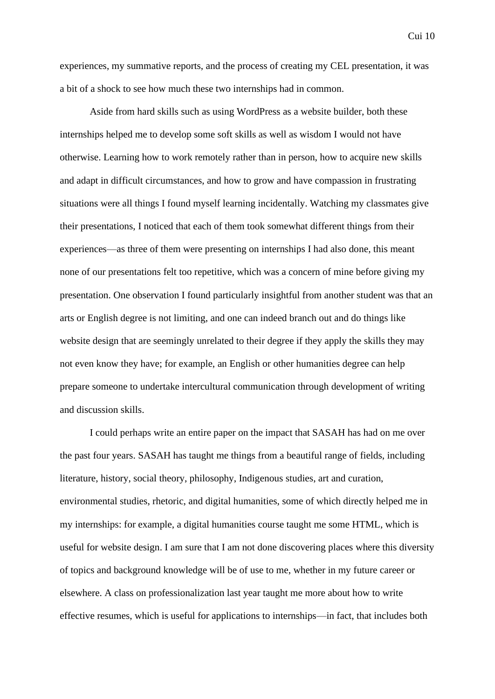experiences, my summative reports, and the process of creating my CEL presentation, it was a bit of a shock to see how much these two internships had in common.

Aside from hard skills such as using WordPress as a website builder, both these internships helped me to develop some soft skills as well as wisdom I would not have otherwise. Learning how to work remotely rather than in person, how to acquire new skills and adapt in difficult circumstances, and how to grow and have compassion in frustrating situations were all things I found myself learning incidentally. Watching my classmates give their presentations, I noticed that each of them took somewhat different things from their experiences—as three of them were presenting on internships I had also done, this meant none of our presentations felt too repetitive, which was a concern of mine before giving my presentation. One observation I found particularly insightful from another student was that an arts or English degree is not limiting, and one can indeed branch out and do things like website design that are seemingly unrelated to their degree if they apply the skills they may not even know they have; for example, an English or other humanities degree can help prepare someone to undertake intercultural communication through development of writing and discussion skills.

I could perhaps write an entire paper on the impact that SASAH has had on me over the past four years. SASAH has taught me things from a beautiful range of fields, including literature, history, social theory, philosophy, Indigenous studies, art and curation, environmental studies, rhetoric, and digital humanities, some of which directly helped me in my internships: for example, a digital humanities course taught me some HTML, which is useful for website design. I am sure that I am not done discovering places where this diversity of topics and background knowledge will be of use to me, whether in my future career or elsewhere. A class on professionalization last year taught me more about how to write effective resumes, which is useful for applications to internships—in fact, that includes both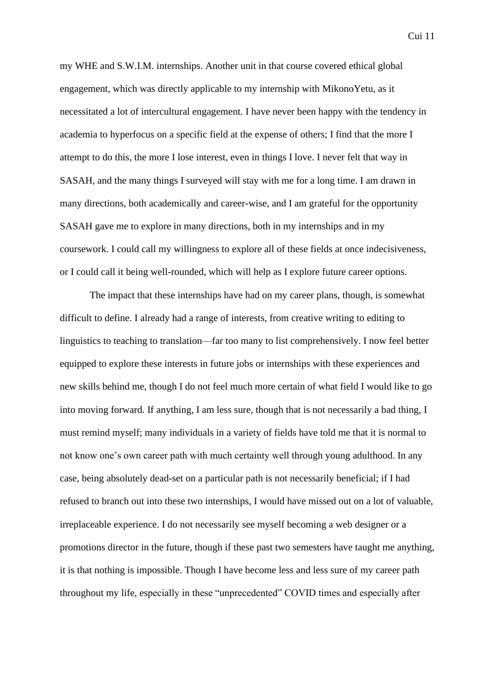Cui 11

my WHE and S.W.I.M. internships. Another unit in that course covered ethical global engagement, which was directly applicable to my internship with MikonoYetu, as it necessitated a lot of intercultural engagement. I have never been happy with the tendency in academia to hyperfocus on a specific field at the expense of others; I find that the more I attempt to do this, the more I lose interest, even in things I love. I never felt that way in SASAH, and the many things I surveyed will stay with me for a long time. I am drawn in many directions, both academically and career-wise, and I am grateful for the opportunity SASAH gave me to explore in many directions, both in my internships and in my coursework. I could call my willingness to explore all of these fields at once indecisiveness, or I could call it being well-rounded, which will help as I explore future career options.

The impact that these internships have had on my career plans, though, is somewhat difficult to define. I already had a range of interests, from creative writing to editing to linguistics to teaching to translation—far too many to list comprehensively. I now feel better equipped to explore these interests in future jobs or internships with these experiences and new skills behind me, though I do not feel much more certain of what field I would like to go into moving forward. If anything, I am less sure, though that is not necessarily a bad thing, I must remind myself; many individuals in a variety of fields have told me that it is normal to not know one's own career path with much certainty well through young adulthood. In any case, being absolutely dead-set on a particular path is not necessarily beneficial; if I had refused to branch out into these two internships, I would have missed out on a lot of valuable, irreplaceable experience. I do not necessarily see myself becoming a web designer or a promotions director in the future, though if these past two semesters have taught me anything, it is that nothing is impossible. Though I have become less and less sure of my career path throughout my life, especially in these "unprecedented" COVID times and especially after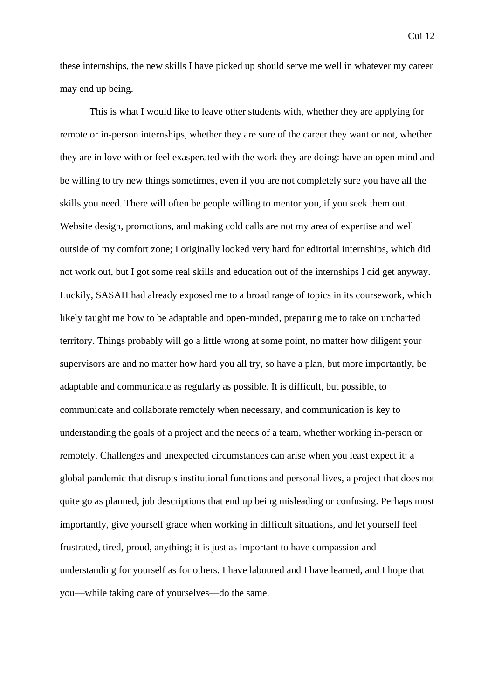these internships, the new skills I have picked up should serve me well in whatever my career may end up being.

This is what I would like to leave other students with, whether they are applying for remote or in-person internships, whether they are sure of the career they want or not, whether they are in love with or feel exasperated with the work they are doing: have an open mind and be willing to try new things sometimes, even if you are not completely sure you have all the skills you need. There will often be people willing to mentor you, if you seek them out. Website design, promotions, and making cold calls are not my area of expertise and well outside of my comfort zone; I originally looked very hard for editorial internships, which did not work out, but I got some real skills and education out of the internships I did get anyway. Luckily, SASAH had already exposed me to a broad range of topics in its coursework, which likely taught me how to be adaptable and open-minded, preparing me to take on uncharted territory. Things probably will go a little wrong at some point, no matter how diligent your supervisors are and no matter how hard you all try, so have a plan, but more importantly, be adaptable and communicate as regularly as possible. It is difficult, but possible, to communicate and collaborate remotely when necessary, and communication is key to understanding the goals of a project and the needs of a team, whether working in-person or remotely. Challenges and unexpected circumstances can arise when you least expect it: a global pandemic that disrupts institutional functions and personal lives, a project that does not quite go as planned, job descriptions that end up being misleading or confusing. Perhaps most importantly, give yourself grace when working in difficult situations, and let yourself feel frustrated, tired, proud, anything; it is just as important to have compassion and understanding for yourself as for others. I have laboured and I have learned, and I hope that you—while taking care of yourselves—do the same.

Cui 12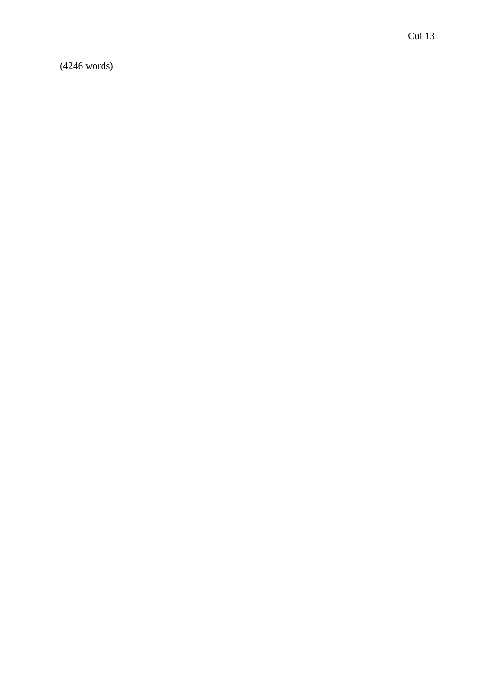(4246 words)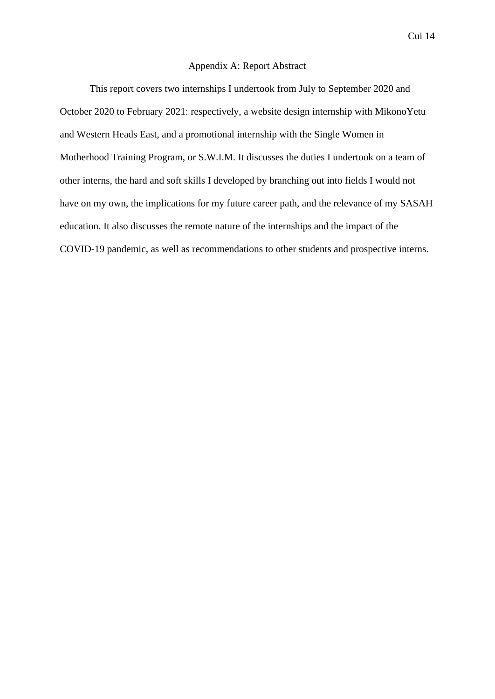## Appendix A: Report Abstract

This report covers two internships I undertook from July to September 2020 and October 2020 to February 2021: respectively, a website design internship with MikonoYetu and Western Heads East, and a promotional internship with the Single Women in Motherhood Training Program, or S.W.I.M. It discusses the duties I undertook on a team of other interns, the hard and soft skills I developed by branching out into fields I would not have on my own, the implications for my future career path, and the relevance of my SASAH education. It also discusses the remote nature of the internships and the impact of the COVID-19 pandemic, as well as recommendations to other students and prospective interns.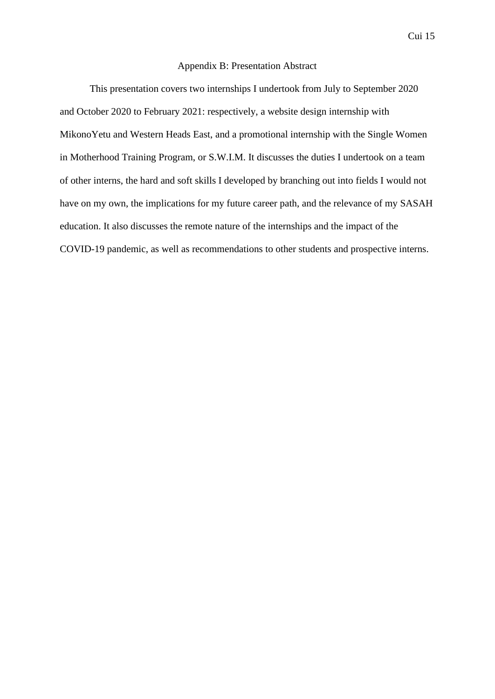## Appendix B: Presentation Abstract

This presentation covers two internships I undertook from July to September 2020 and October 2020 to February 2021: respectively, a website design internship with MikonoYetu and Western Heads East, and a promotional internship with the Single Women in Motherhood Training Program, or S.W.I.M. It discusses the duties I undertook on a team of other interns, the hard and soft skills I developed by branching out into fields I would not have on my own, the implications for my future career path, and the relevance of my SASAH education. It also discusses the remote nature of the internships and the impact of the COVID-19 pandemic, as well as recommendations to other students and prospective interns.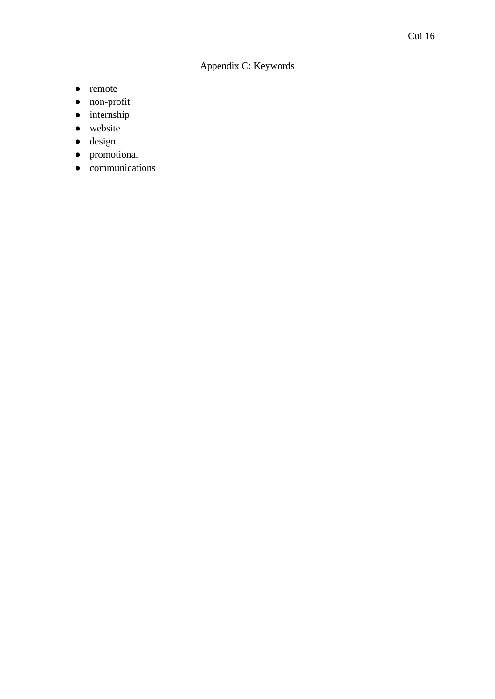## Appendix C: Keywords

- remote
- non-profit
- internship
- website
- design
- promotional
- communications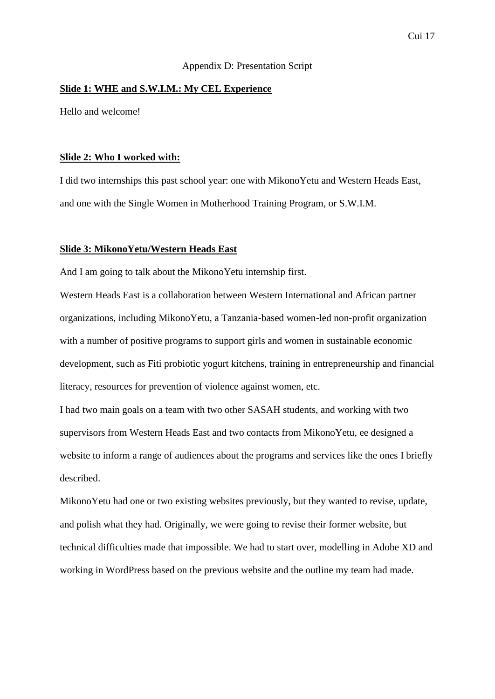## Appendix D: Presentation Script

## **Slide 1: WHE and S.W.I.M.: My CEL Experience**

Hello and welcome!

## **Slide 2: Who I worked with:**

I did two internships this past school year: one with MikonoYetu and Western Heads East, and one with the Single Women in Motherhood Training Program, or S.W.I.M.

## **Slide 3: MikonoYetu/Western Heads East**

And I am going to talk about the MikonoYetu internship first.

Western Heads East is a collaboration between Western International and African partner organizations, including MikonoYetu, a Tanzania-based women-led non-profit organization with a number of positive programs to support girls and women in sustainable economic development, such as Fiti probiotic yogurt kitchens, training in entrepreneurship and financial literacy, resources for prevention of violence against women, etc.

I had two main goals on a team with two other SASAH students, and working with two supervisors from Western Heads East and two contacts from MikonoYetu, ee designed a website to inform a range of audiences about the programs and services like the ones I briefly described.

MikonoYetu had one or two existing websites previously, but they wanted to revise, update, and polish what they had. Originally, we were going to revise their former website, but technical difficulties made that impossible. We had to start over, modelling in Adobe XD and working in WordPress based on the previous website and the outline my team had made.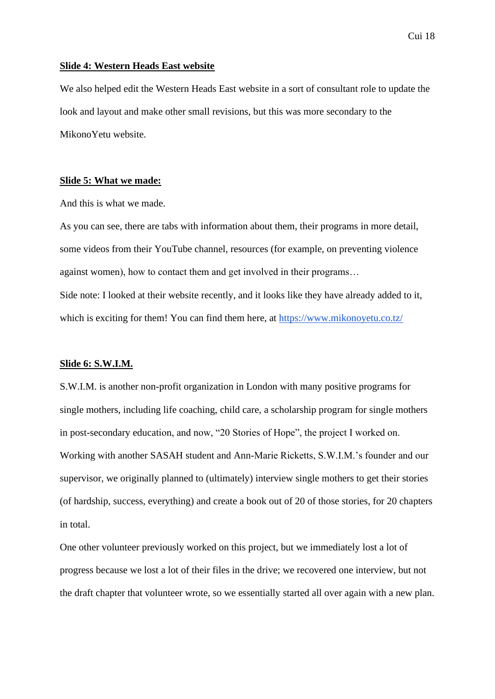## Cui 18

#### **Slide 4: Western Heads East website**

We also helped edit the Western Heads East website in a sort of consultant role to update the look and layout and make other small revisions, but this was more secondary to the MikonoYetu website.

## **Slide 5: What we made:**

And this is what we made.

As you can see, there are tabs with information about them, their programs in more detail, some videos from their YouTube channel, resources (for example, on preventing violence against women), how to contact them and get involved in their programs… Side note: I looked at their website recently, and it looks like they have already added to it, which is exciting for them! You can find them here, at<https://www.mikonoyetu.co.tz/>

## **Slide 6: S.W.I.M.**

S.W.I.M. is another non-profit organization in London with many positive programs for single mothers, including life coaching, child care, a scholarship program for single mothers in post-secondary education, and now, "20 Stories of Hope", the project I worked on. Working with another SASAH student and Ann-Marie Ricketts, S.W.I.M.'s founder and our supervisor, we originally planned to (ultimately) interview single mothers to get their stories (of hardship, success, everything) and create a book out of 20 of those stories, for 20 chapters in total.

One other volunteer previously worked on this project, but we immediately lost a lot of progress because we lost a lot of their files in the drive; we recovered one interview, but not the draft chapter that volunteer wrote, so we essentially started all over again with a new plan.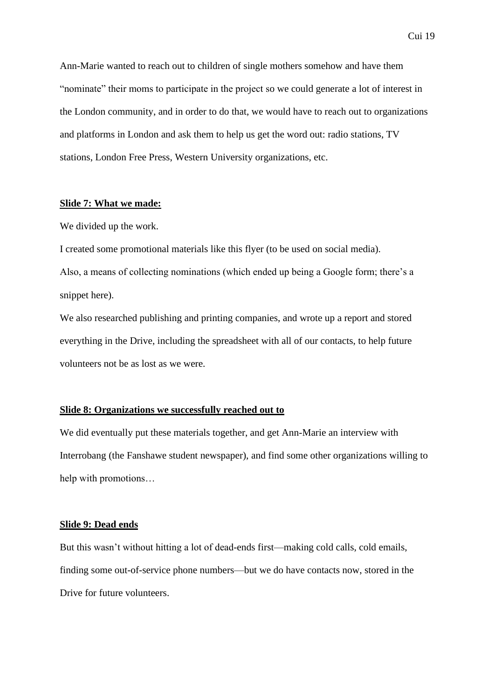Ann-Marie wanted to reach out to children of single mothers somehow and have them "nominate" their moms to participate in the project so we could generate a lot of interest in the London community, and in order to do that, we would have to reach out to organizations and platforms in London and ask them to help us get the word out: radio stations, TV stations, London Free Press, Western University organizations, etc.

## **Slide 7: What we made:**

We divided up the work.

I created some promotional materials like this flyer (to be used on social media). Also, a means of collecting nominations (which ended up being a Google form; there's a snippet here).

We also researched publishing and printing companies, and wrote up a report and stored everything in the Drive, including the spreadsheet with all of our contacts, to help future volunteers not be as lost as we were.

#### **Slide 8: Organizations we successfully reached out to**

We did eventually put these materials together, and get Ann-Marie an interview with Interrobang (the Fanshawe student newspaper), and find some other organizations willing to help with promotions…

## **Slide 9: Dead ends**

But this wasn't without hitting a lot of dead-ends first—making cold calls, cold emails, finding some out-of-service phone numbers—but we do have contacts now, stored in the Drive for future volunteers.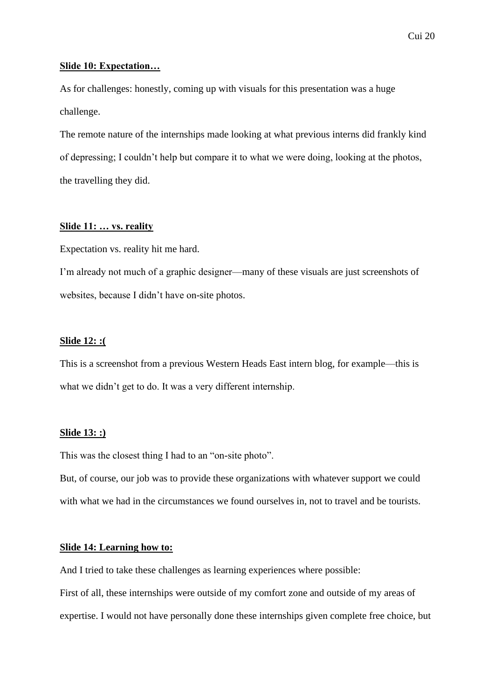## **Slide 10: Expectation…**

As for challenges: honestly, coming up with visuals for this presentation was a huge challenge.

The remote nature of the internships made looking at what previous interns did frankly kind of depressing; I couldn't help but compare it to what we were doing, looking at the photos, the travelling they did.

## **Slide 11: … vs. reality**

Expectation vs. reality hit me hard.

I'm already not much of a graphic designer—many of these visuals are just screenshots of websites, because I didn't have on-site photos.

## **Slide 12: :(**

This is a screenshot from a previous Western Heads East intern blog, for example—this is what we didn't get to do. It was a very different internship.

## **Slide 13: :)**

This was the closest thing I had to an "on-site photo".

But, of course, our job was to provide these organizations with whatever support we could with what we had in the circumstances we found ourselves in, not to travel and be tourists.

## **Slide 14: Learning how to:**

And I tried to take these challenges as learning experiences where possible:

First of all, these internships were outside of my comfort zone and outside of my areas of expertise. I would not have personally done these internships given complete free choice, but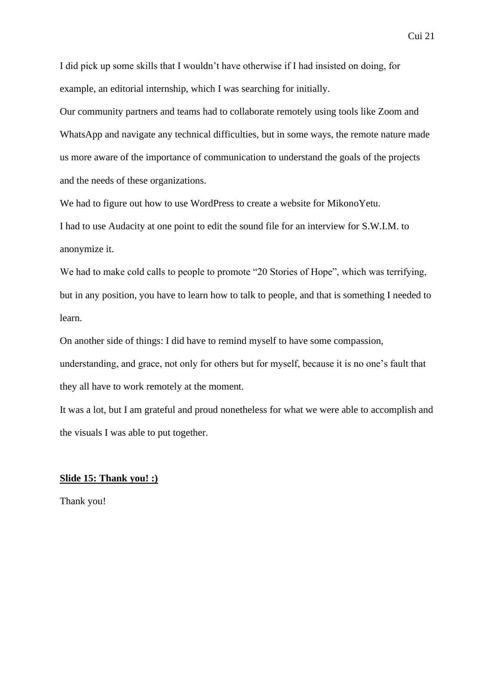I did pick up some skills that I wouldn't have otherwise if I had insisted on doing, for example, an editorial internship, which I was searching for initially.

Our community partners and teams had to collaborate remotely using tools like Zoom and WhatsApp and navigate any technical difficulties, but in some ways, the remote nature made us more aware of the importance of communication to understand the goals of the projects and the needs of these organizations.

We had to figure out how to use WordPress to create a website for MikonoYetu.

I had to use Audacity at one point to edit the sound file for an interview for S.W.I.M. to anonymize it.

We had to make cold calls to people to promote "20 Stories of Hope", which was terrifying, but in any position, you have to learn how to talk to people, and that is something I needed to learn.

On another side of things: I did have to remind myself to have some compassion, understanding, and grace, not only for others but for myself, because it is no one's fault that

they all have to work remotely at the moment.

It was a lot, but I am grateful and proud nonetheless for what we were able to accomplish and the visuals I was able to put together.

## **Slide 15: Thank you! :)**

Thank you!